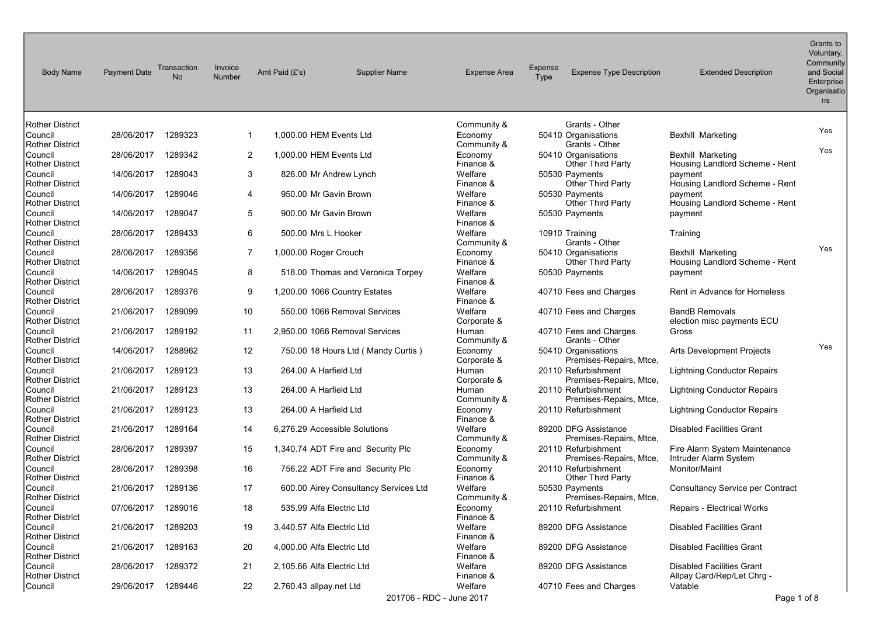| <b>Body Name</b>                                     | <b>Payment Date</b> | Transaction<br><b>No</b> | Invoice<br><b>Number</b> | Amt Paid (£'s)          | <b>Supplier Name</b>                  | <b>Expense Area</b>                 | Expense<br>Type | <b>Expense Type Description</b>                                   | <b>Extended Description</b>                                    | Grants to<br>Voluntary,<br>Community<br>and Social<br>Enterprise<br>Organisatio<br>ns |
|------------------------------------------------------|---------------------|--------------------------|--------------------------|-------------------------|---------------------------------------|-------------------------------------|-----------------|-------------------------------------------------------------------|----------------------------------------------------------------|---------------------------------------------------------------------------------------|
| Rother District                                      |                     |                          |                          |                         |                                       | Community &                         |                 | Grants - Other                                                    |                                                                |                                                                                       |
| Council<br>Rother District                           | 28/06/2017          | 1289323                  | 1                        |                         | 1,000.00 HEM Events Ltd               | Economy<br>Community &              |                 | 50410 Organisations<br>Grants - Other                             | <b>Bexhill Marketing</b>                                       | Yes                                                                                   |
| Council<br>Rother District                           | 28/06/2017          | 1289342                  | 2                        |                         | 1,000.00 HEM Events Ltd               | Economy<br>Finance &                |                 | 50410 Organisations<br><b>Other Third Party</b>                   | Bexhill Marketing<br>Housing Landlord Scheme - Rent            | Yes                                                                                   |
| Council<br>Rother District                           | 14/06/2017          | 1289043                  | 3                        |                         | 826.00 Mr Andrew Lynch                | Welfare<br>Finance &                |                 | 50530 Payments<br>Other Third Party                               | payment<br>Housing Landlord Scheme - Rent                      |                                                                                       |
| Council                                              | 14/06/2017          | 1289046                  | 4                        |                         | 950.00 Mr Gavin Brown                 | Welfare                             |                 | 50530 Payments                                                    | payment                                                        |                                                                                       |
| <b>Rother District</b><br>Council                    | 14/06/2017          | 1289047                  | 5                        |                         | 900.00 Mr Gavin Brown                 | Finance &<br>Welfare                |                 | Other Third Party<br>50530 Payments                               | Housing Landlord Scheme - Rent<br>payment                      |                                                                                       |
| Rother District<br> Council                          | 28/06/2017          | 1289433                  | 6                        |                         | 500.00 Mrs L Hooker                   | Finance &<br>Welfare                |                 | 10910 Training                                                    | Training                                                       |                                                                                       |
| Rother District<br>Council<br><b>Rother District</b> | 28/06/2017          | 1289356                  | 7                        | 1,000.00 Roger Crouch   |                                       | Community &<br>Economy<br>Finance & |                 | Grants - Other<br>50410 Organisations<br><b>Other Third Party</b> | <b>Bexhill Marketing</b><br>Housing Landlord Scheme - Rent     | Yes                                                                                   |
| Council<br><b>Rother District</b>                    | 14/06/2017          | 1289045                  | 8                        |                         | 518.00 Thomas and Veronica Torpey     | Welfare<br>Finance &                |                 | 50530 Payments                                                    | payment                                                        |                                                                                       |
| Council<br>Rother District                           | 28/06/2017          | 1289376                  | 9                        |                         | 1,200.00 1066 Country Estates         | Welfare<br>Finance &                |                 | 40710 Fees and Charges                                            | Rent in Advance for Homeless                                   |                                                                                       |
| Council<br>Rother District                           | 21/06/2017          | 1289099                  | 10                       |                         | 550.00 1066 Removal Services          | Welfare<br>Corporate &              |                 | 40710 Fees and Charges                                            | <b>BandB Removals</b><br>election misc payments ECU            |                                                                                       |
| Council<br><b>Rother District</b>                    | 21/06/2017          | 1289192                  | 11                       |                         | 2,950.00 1066 Removal Services        | Human<br>Community &                |                 | 40710 Fees and Charges<br>Grants - Other                          | Gross                                                          |                                                                                       |
| Council<br><b>Rother District</b>                    | 14/06/2017          | 1288962                  | 12                       |                         | 750.00 18 Hours Ltd ( Mandy Curtis )  | Economy<br>Corporate &              |                 | 50410 Organisations<br>Premises-Repairs, Mtce,                    | Arts Development Projects                                      | Yes                                                                                   |
| Council<br>Rother District                           | 21/06/2017          | 1289123                  | 13                       |                         | 264.00 A Harfield Ltd                 | Human<br>Corporate &                |                 | 20110 Refurbishment<br>Premises-Repairs, Mtce,                    | <b>Lightning Conductor Repairs</b>                             |                                                                                       |
| Council<br><b>Rother District</b>                    | 21/06/2017          | 1289123                  | 13                       |                         | 264.00 A Harfield Ltd                 | Human<br>Community &                |                 | 20110 Refurbishment<br>Premises-Repairs, Mtce,                    | <b>Lightning Conductor Repairs</b>                             |                                                                                       |
| Council<br><b>Rother District</b>                    | 21/06/2017          | 1289123                  | 13                       |                         | 264.00 A Harfield Ltd                 | Economy<br>Finance &                |                 | 20110 Refurbishment                                               | Lightning Conductor Repairs                                    |                                                                                       |
| Council<br>Rother District                           | 21/06/2017          | 1289164                  | 14                       |                         | 6,276.29 Accessible Solutions         | Welfare<br>Community &              |                 | 89200 DFG Assistance<br>Premises-Repairs, Mtce,                   | <b>Disabled Facilities Grant</b>                               |                                                                                       |
| Council<br>Rother District                           | 28/06/2017          | 1289397                  | 15                       |                         | 1,340.74 ADT Fire and Security Plc    | Economy<br>Community &              |                 | 20110 Refurbishment<br>Premises-Repairs, Mtce,                    | Fire Alarm System Maintenance<br>Intruder Alarm System         |                                                                                       |
| Council<br>Rother District                           | 28/06/2017          | 1289398                  | 16                       |                         | 756.22 ADT Fire and Security Plc      | Economy<br>Finance &                |                 | 20110 Refurbishment<br><b>Other Third Party</b>                   | Monitor/Maint                                                  |                                                                                       |
| Council<br>Rother District                           | 21/06/2017          | 1289136                  | 17                       |                         | 600.00 Airey Consultancy Services Ltd | Welfare<br>Community &              |                 | 50530 Payments<br>Premises-Repairs, Mtce,                         | <b>Consultancy Service per Contract</b>                        |                                                                                       |
| Council<br>Rother District                           | 07/06/2017 1289016  |                          | 18                       |                         | 535.99 Alfa Electric Ltd              | Economy<br>Finance &                |                 | 20110 Refurbishment                                               | Repairs - Electrical Works                                     |                                                                                       |
| Council<br>Rother District                           | 21/06/2017 1289203  |                          | 19                       |                         | 3,440.57 Alfa Electric Ltd            | Welfare<br>Finance &                |                 | 89200 DFG Assistance                                              | <b>Disabled Facilities Grant</b>                               |                                                                                       |
| Council<br>Rother District                           | 21/06/2017          | 1289163                  | 20                       |                         | 4,000.00 Alfa Electric Ltd            | Welfare<br>Finance &                |                 | 89200 DFG Assistance                                              | <b>Disabled Facilities Grant</b>                               |                                                                                       |
| Council<br>Rother District                           | 28/06/2017          | 1289372                  | 21                       |                         | 2,105.66 Alfa Electric Ltd            | Welfare<br>Finance &                |                 | 89200 DFG Assistance                                              | <b>Disabled Facilities Grant</b><br>Allpay Card/Rep/Let Chrg - |                                                                                       |
| Council                                              | 29/06/2017          | 1289446                  | 22                       | 2,760.43 allpay.net Ltd | 201706 - RDC - June 2017              | Welfare                             |                 | 40710 Fees and Charges                                            | Vatable<br>Page 1 of 8                                         |                                                                                       |
|                                                      |                     |                          |                          |                         |                                       |                                     |                 |                                                                   |                                                                |                                                                                       |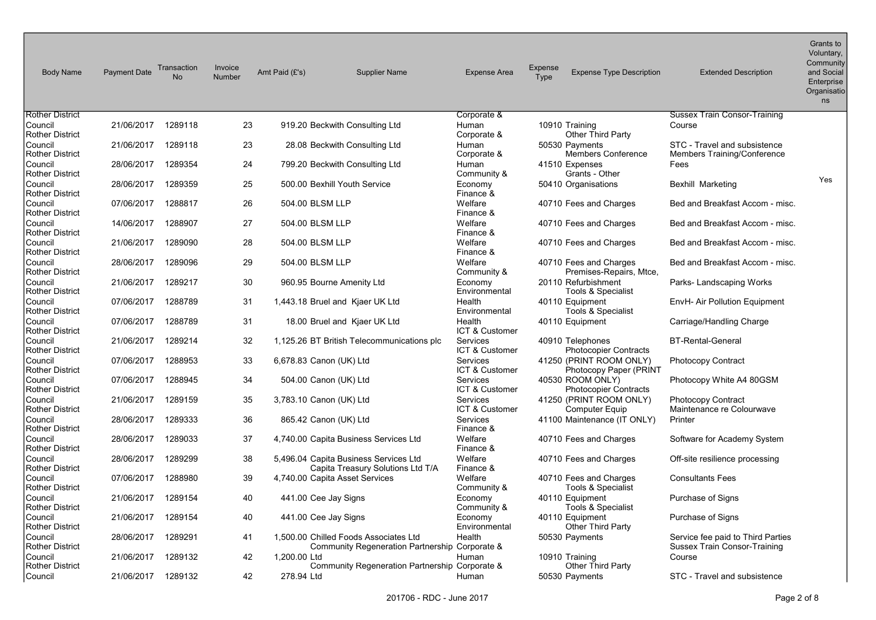| <b>Body Name</b>                  | <b>Payment Date</b> | Transaction<br><b>No</b> | Invoice<br>Number | Amt Paid (£'s)          | <b>Supplier Name</b>                                                                    | <b>Expense Area</b>               | <b>Expense</b><br>Type | <b>Expense Type Description</b>                   | <b>Extended Description</b>                                              | Grants to<br>Voluntary,<br>Community<br>and Social<br>Enterprise<br>Organisatio<br>ns |
|-----------------------------------|---------------------|--------------------------|-------------------|-------------------------|-----------------------------------------------------------------------------------------|-----------------------------------|------------------------|---------------------------------------------------|--------------------------------------------------------------------------|---------------------------------------------------------------------------------------|
| <b>Rother District</b>            |                     |                          |                   |                         |                                                                                         | Corporate &                       |                        |                                                   | <b>Sussex Train Consor-Training</b>                                      |                                                                                       |
| Council<br><b>Rother District</b> | 21/06/2017          | 1289118                  | 23                |                         | 919.20 Beckwith Consulting Ltd                                                          | Human<br>Corporate &              |                        | 10910 Training<br><b>Other Third Party</b>        | Course                                                                   |                                                                                       |
| Council<br>Rother District        | 21/06/2017          | 1289118                  | 23                |                         | 28.08 Beckwith Consulting Ltd                                                           | Human<br>Corporate &              |                        | 50530 Payments<br><b>Members Conference</b>       | STC - Travel and subsistence<br>Members Training/Conference              |                                                                                       |
| Council<br><b>Rother District</b> | 28/06/2017          | 1289354                  | 24                |                         | 799.20 Beckwith Consulting Ltd                                                          | Human<br>Community &              |                        | 41510 Expenses<br>Grants - Other                  | Fees                                                                     |                                                                                       |
| Council<br><b>Rother District</b> | 28/06/2017          | 1289359                  | 25                |                         | 500.00 Bexhill Youth Service                                                            | Economy<br>Finance &              |                        | 50410 Organisations                               | <b>Bexhill Marketing</b>                                                 | Yes                                                                                   |
| Council<br><b>Rother District</b> | 07/06/2017          | 1288817                  | 26                | 504.00 BLSM LLP         |                                                                                         | Welfare<br>Finance &              |                        | 40710 Fees and Charges                            | Bed and Breakfast Accom - misc.                                          |                                                                                       |
| Council<br><b>Rother District</b> | 14/06/2017          | 1288907                  | 27                | 504.00 BLSM LLP         |                                                                                         | Welfare<br>Finance &              |                        | 40710 Fees and Charges                            | Bed and Breakfast Accom - misc.                                          |                                                                                       |
| Council<br><b>Rother District</b> | 21/06/2017          | 1289090                  | 28                | 504.00 BLSM LLP         |                                                                                         | Welfare<br>Finance &              |                        | 40710 Fees and Charges                            | Bed and Breakfast Accom - misc.                                          |                                                                                       |
| Council<br><b>Rother District</b> | 28/06/2017          | 1289096                  | 29                | 504.00 BLSM LLP         |                                                                                         | Welfare<br>Community &            |                        | 40710 Fees and Charges<br>Premises-Repairs, Mtce, | Bed and Breakfast Accom - misc.                                          |                                                                                       |
| Council<br><b>Rother District</b> | 21/06/2017          | 1289217                  | 30                |                         | 960.95 Bourne Amenity Ltd                                                               | Economy<br>Environmental          |                        | 20110 Refurbishment<br>Tools & Specialist         | Parks-Landscaping Works                                                  |                                                                                       |
| Council<br><b>Rother District</b> | 07/06/2017          | 1288789                  | 31                |                         | 1,443.18 Bruel and Kjaer UK Ltd                                                         | Health<br>Environmental           |                        | 40110 Equipment<br>Tools & Specialist             | EnvH- Air Pollution Equipment                                            |                                                                                       |
| Council<br>Rother District        | 07/06/2017          | 1288789                  | 31                |                         | 18.00 Bruel and Kjaer UK Ltd                                                            | Health<br>ICT & Customer          |                        | 40110 Equipment                                   | Carriage/Handling Charge                                                 |                                                                                       |
| Council<br><b>Rother District</b> | 21/06/2017          | 1289214                  | 32                |                         | 1,125.26 BT British Telecommunications plc                                              | Services<br>ICT & Customer        |                        | 40910 Telephones<br><b>Photocopier Contracts</b>  | <b>BT-Rental-General</b>                                                 |                                                                                       |
| Council<br><b>Rother District</b> | 07/06/2017          | 1288953                  | 33                | 6,678.83 Canon (UK) Ltd |                                                                                         | <b>Services</b><br>ICT & Customer |                        | 41250 (PRINT ROOM ONLY)<br>Photocopy Paper (PRINT | Photocopy Contract                                                       |                                                                                       |
| Council<br><b>Rother District</b> | 07/06/2017          | 1288945                  | 34                | 504.00 Canon (UK) Ltd   |                                                                                         | <b>Services</b><br>ICT & Customer |                        | 40530 ROOM ONLY)<br><b>Photocopier Contracts</b>  | Photocopy White A4 80GSM                                                 |                                                                                       |
| Council<br><b>Rother District</b> | 21/06/2017          | 1289159                  | 35                | 3,783.10 Canon (UK) Ltd |                                                                                         | <b>Services</b><br>ICT & Customer |                        | 41250 (PRINT ROOM ONLY)<br><b>Computer Equip</b>  | <b>Photocopy Contract</b><br>Maintenance re Colourwave                   |                                                                                       |
| Council<br>Rother District        | 28/06/2017          | 1289333                  | 36                | 865.42 Canon (UK) Ltd   |                                                                                         | <b>Services</b><br>Finance &      |                        | 41100 Maintenance (IT ONLY)                       | Printer                                                                  |                                                                                       |
| Council<br><b>Rother District</b> | 28/06/2017          | 1289033                  | 37                |                         | 4,740.00 Capita Business Services Ltd                                                   | Welfare<br>Finance &              |                        | 40710 Fees and Charges                            | Software for Academy System                                              |                                                                                       |
| Council<br><b>Rother District</b> | 28/06/2017          | 1289299                  | 38                |                         | 5,496.04 Capita Business Services Ltd<br>Capita Treasury Solutions Ltd T/A              | Welfare<br>Finance &              |                        | 40710 Fees and Charges                            | Off-site resilience processing                                           |                                                                                       |
| Council<br><b>Rother District</b> | 07/06/2017          | 1288980                  | 39                |                         | 4,740.00 Capita Asset Services                                                          | Welfare<br>Community &            |                        | 40710 Fees and Charges<br>Tools & Specialist      | <b>Consultants Fees</b>                                                  |                                                                                       |
| Council<br><b>Rother District</b> | 21/06/2017          | 1289154                  | 40                | 441.00 Cee Jay Signs    |                                                                                         | Economy<br>Community &            |                        | 40110 Equipment<br>Tools & Specialist             | Purchase of Signs                                                        |                                                                                       |
| Council<br>Rother District        | 21/06/2017          | 1289154                  | 40                | 441.00 Cee Jay Signs    |                                                                                         | Economy<br>Environmental          |                        | 40110 Equipment<br><b>Other Third Party</b>       | Purchase of Signs                                                        |                                                                                       |
| Council<br><b>Rother District</b> | 28/06/2017          | 1289291                  | 41                |                         | 1,500.00 Chilled Foods Associates Ltd<br>Community Regeneration Partnership Corporate & | Health                            |                        | 50530 Payments                                    | Service fee paid to Third Parties<br><b>Sussex Train Consor-Training</b> |                                                                                       |
| Council<br><b>Rother District</b> | 21/06/2017          | 1289132                  | 42                | 1.200.00 Ltd            | Community Regeneration Partnership Corporate &                                          | Human                             |                        | 10910 Training<br><b>Other Third Party</b>        | Course                                                                   |                                                                                       |
| Council                           | 21/06/2017          | 1289132                  | 42                | 278.94 Ltd              |                                                                                         | Human                             |                        | 50530 Payments                                    | STC - Travel and subsistence                                             |                                                                                       |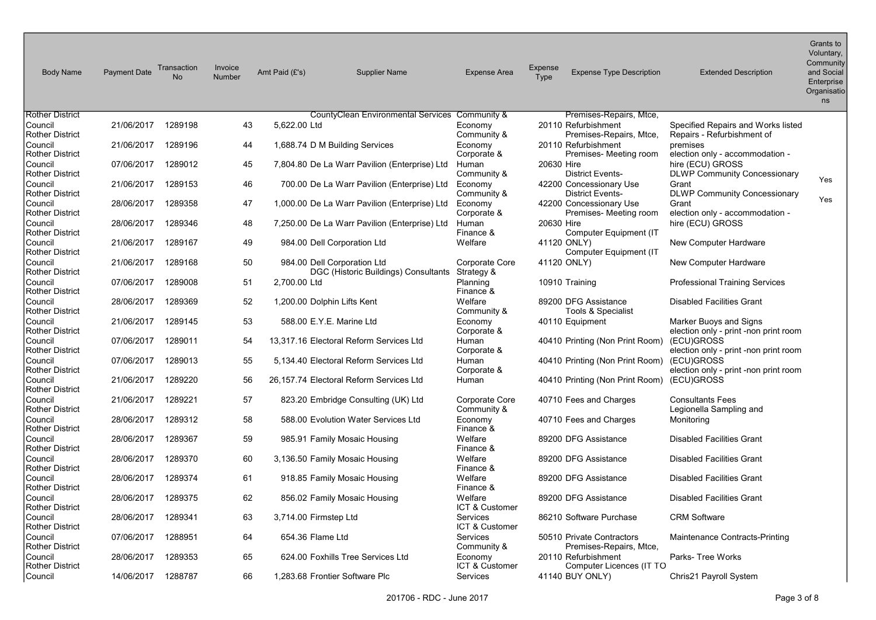| <b>Body Name</b>                  | <b>Payment Date</b> | Transaction<br><b>No</b> | Invoice<br><b>Number</b> | Amt Paid (£'s)        | <b>Supplier Name</b>                                                | <b>Expense Area</b>                  | <b>Expense</b><br>Type | <b>Expense Type Description</b>                      | <b>Extended Description</b>                                      | Grants to<br>Voluntary,<br>Community<br>and Social<br>Enterprise<br>Organisatio<br>ns |
|-----------------------------------|---------------------|--------------------------|--------------------------|-----------------------|---------------------------------------------------------------------|--------------------------------------|------------------------|------------------------------------------------------|------------------------------------------------------------------|---------------------------------------------------------------------------------------|
| Rother District                   |                     |                          |                          |                       | CountyClean Environmental Services Community &                      |                                      |                        | Premises-Repairs, Mtce,                              |                                                                  |                                                                                       |
| Council<br>Rother District        | 21/06/2017          | 1289198                  | 43                       | 5,622.00 Ltd          |                                                                     | Economy<br>Community &               |                        | 20110 Refurbishment<br>Premises-Repairs, Mtce,       | Specified Repairs and Works listed<br>Repairs - Refurbishment of |                                                                                       |
| Council<br>Rother District        | 21/06/2017          | 1289196                  | 44                       |                       | 1,688.74 D M Building Services                                      | Economy<br>Corporate &               |                        | 20110 Refurbishment<br>Premises- Meeting room        | premises<br>election only - accommodation -                      |                                                                                       |
| Council<br>Rother District        | 07/06/2017          | 1289012                  | 45                       |                       | 7,804.80 De La Warr Pavilion (Enterprise) Ltd                       | Human<br>Community &                 | 20630 Hire             | <b>District Events-</b>                              | hire (ECU) GROSS<br><b>DLWP Community Concessionary</b>          |                                                                                       |
| Council<br>Rother District        | 21/06/2017          | 1289153                  | 46                       |                       | 700.00 De La Warr Pavilion (Enterprise) Ltd                         | Economy<br>Community &               |                        | 42200 Concessionary Use<br><b>District Events-</b>   | Grant<br><b>DLWP Community Concessionary</b>                     | Yes                                                                                   |
| Council<br>Rother District        | 28/06/2017          | 1289358                  | 47                       |                       | 1,000.00 De La Warr Pavilion (Enterprise) Ltd                       | Economy<br>Corporate &               |                        | 42200 Concessionary Use<br>Premises- Meeting room    | Grant<br>election only - accommodation -                         | Yes                                                                                   |
| Council<br>Rother District        | 28/06/2017          | 1289346                  | 48                       |                       | 7,250.00 De La Warr Pavilion (Enterprise) Ltd                       | Human<br>Finance &                   | 20630 Hire             | Computer Equipment (IT                               | hire (ECU) GROSS                                                 |                                                                                       |
| Council<br>Rother District        | 21/06/2017          | 1289167                  | 49                       |                       | 984.00 Dell Corporation Ltd                                         | Welfare                              |                        | 41120 ONLY)<br>Computer Equipment (IT                | New Computer Hardware                                            |                                                                                       |
| Council<br>Rother District        | 21/06/2017          | 1289168                  | 50                       |                       | 984.00 Dell Corporation Ltd<br>DGC (Historic Buildings) Consultants | Corporate Core<br>Strategy &         |                        | 41120 ONLY)                                          | New Computer Hardware                                            |                                                                                       |
| Council<br>Rother District        | 07/06/2017          | 1289008                  | 51                       | 2,700.00 Ltd          |                                                                     | Planning<br>Finance &                |                        | 10910 Training                                       | <b>Professional Training Services</b>                            |                                                                                       |
| Council<br>Rother District        | 28/06/2017          | 1289369                  | 52                       |                       | 1,200.00 Dolphin Lifts Kent                                         | Welfare<br>Community &               |                        | 89200 DFG Assistance<br>Tools & Specialist           | <b>Disabled Facilities Grant</b>                                 |                                                                                       |
| Council<br>Rother District        | 21/06/2017          | 1289145                  | 53                       |                       | 588.00 E.Y.E. Marine Ltd                                            | Economy<br>Corporate &               |                        | 40110 Equipment                                      | Marker Buoys and Signs<br>election only - print -non print room  |                                                                                       |
| Council<br>Rother District        | 07/06/2017          | 1289011                  | 54                       |                       | 13,317.16 Electoral Reform Services Ltd                             | Human<br>Corporate &                 |                        | 40410 Printing (Non Print Room)                      | (ECU)GROSS<br>election only - print -non print room              |                                                                                       |
| Council<br><b>Rother District</b> | 07/06/2017          | 1289013                  | 55                       |                       | 5,134.40 Electoral Reform Services Ltd                              | Human<br>Corporate &                 |                        | 40410 Printing (Non Print Room)                      | (ECU)GROSS<br>election only - print -non print room              |                                                                                       |
| Council<br><b>Rother District</b> | 21/06/2017          | 1289220                  | 56                       |                       | 26,157.74 Electoral Reform Services Ltd                             | Human                                |                        | 40410 Printing (Non Print Room)                      | (ECU)GROSS                                                       |                                                                                       |
| Council<br><b>Rother District</b> | 21/06/2017          | 1289221                  | 57                       |                       | 823.20 Embridge Consulting (UK) Ltd                                 | <b>Corporate Core</b><br>Community & |                        | 40710 Fees and Charges                               | <b>Consultants Fees</b><br>Legionella Sampling and               |                                                                                       |
| Council<br>Rother District        | 28/06/2017          | 1289312                  | 58                       |                       | 588.00 Evolution Water Services Ltd                                 | Economy<br>Finance &                 |                        | 40710 Fees and Charges                               | Monitoring                                                       |                                                                                       |
| Council<br><b>Rother District</b> | 28/06/2017          | 1289367                  | 59                       |                       | 985.91 Family Mosaic Housing                                        | Welfare<br>Finance &                 |                        | 89200 DFG Assistance                                 | <b>Disabled Facilities Grant</b>                                 |                                                                                       |
| Council<br>Rother District        | 28/06/2017          | 1289370                  | 60                       |                       | 3,136.50 Family Mosaic Housing                                      | Welfare<br>Finance &                 |                        | 89200 DFG Assistance                                 | <b>Disabled Facilities Grant</b>                                 |                                                                                       |
| Council<br>Rother District        | 28/06/2017          | 1289374                  | 61                       |                       | 918.85 Family Mosaic Housing                                        | Welfare<br>Finance &                 |                        | 89200 DFG Assistance                                 | <b>Disabled Facilities Grant</b>                                 |                                                                                       |
| Council<br>Rother District        | 28/06/2017          | 1289375                  | 62                       |                       | 856.02 Family Mosaic Housing                                        | Welfare<br>ICT & Customer            |                        | 89200 DFG Assistance                                 | <b>Disabled Facilities Grant</b>                                 |                                                                                       |
| Council<br>Rother District        | 28/06/2017          | 1289341                  | 63                       | 3,714.00 Firmstep Ltd |                                                                     | Services<br>ICT & Customer           |                        | 86210 Software Purchase                              | <b>CRM Software</b>                                              |                                                                                       |
| Council<br><b>Rother District</b> | 07/06/2017          | 1288951                  | 64                       | 654.36 Flame Ltd      |                                                                     | <b>Services</b><br>Community &       |                        | 50510 Private Contractors<br>Premises-Repairs, Mtce, | Maintenance Contracts-Printing                                   |                                                                                       |
| Council<br>Rother District        | 28/06/2017          | 1289353                  | 65                       |                       | 624.00 Foxhills Tree Services Ltd                                   | Economy<br>ICT & Customer            |                        | 20110 Refurbishment<br>Computer Licences (IT TO      | Parks-Tree Works                                                 |                                                                                       |
| Council                           | 14/06/2017 1288787  |                          | 66                       |                       | 1,283.68 Frontier Software Plc                                      | Services                             |                        | 41140 BUY ONLY)                                      | Chris21 Payroll System                                           |                                                                                       |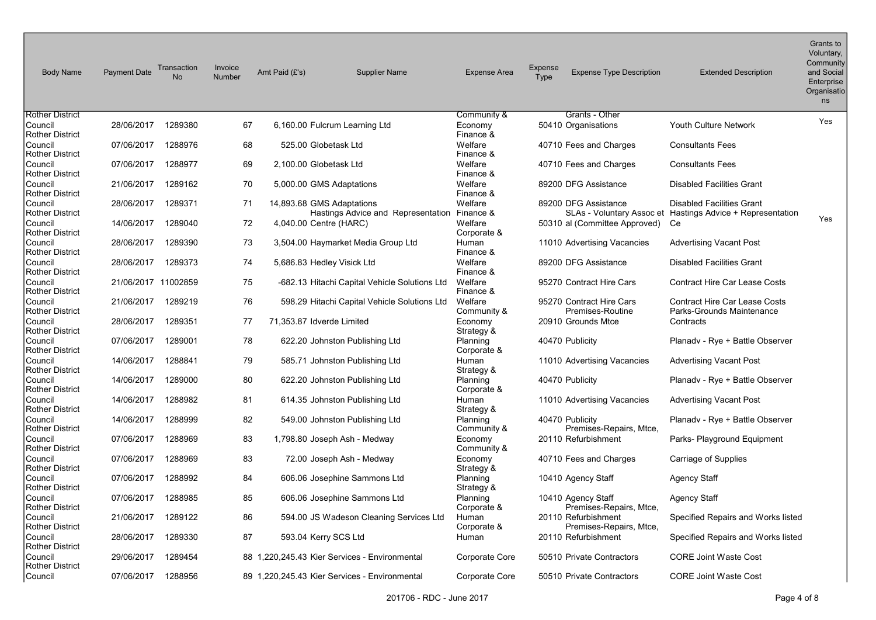| <b>Body Name</b>                  | <b>Payment Date</b> | Transaction<br>No | Invoice<br><b>Number</b> | Amt Paid (£'s) | <b>Supplier Name</b>                                                      | <b>Expense Area</b>     | Expense<br>Type | <b>Expense Type Description</b>                   | <b>Extended Description</b>                                          | Grants to<br>Voluntary,<br>Community<br>and Social<br>Enterprise<br>Organisatio<br>ns |
|-----------------------------------|---------------------|-------------------|--------------------------|----------------|---------------------------------------------------------------------------|-------------------------|-----------------|---------------------------------------------------|----------------------------------------------------------------------|---------------------------------------------------------------------------------------|
| <b>Rother District</b>            |                     |                   |                          |                |                                                                           | Community &             |                 | Grants - Other                                    |                                                                      | Yes                                                                                   |
| Council<br>Rother District        | 28/06/2017          | 1289380           | 67                       |                | 6,160.00 Fulcrum Learning Ltd                                             | Economy<br>Finance &    |                 | 50410 Organisations                               | Youth Culture Network                                                |                                                                                       |
| Council<br>Rother District        | 07/06/2017          | 1288976           | 68                       |                | 525.00 Globetask Ltd                                                      | Welfare<br>Finance &    |                 | 40710 Fees and Charges                            | <b>Consultants Fees</b>                                              |                                                                                       |
| Council<br><b>Rother District</b> | 07/06/2017          | 1288977           | 69                       |                | 2,100.00 Globetask Ltd                                                    | Welfare<br>Finance &    |                 | 40710 Fees and Charges                            | <b>Consultants Fees</b>                                              |                                                                                       |
| Council<br>Rother District        | 21/06/2017          | 1289162           | 70                       |                | 5,000.00 GMS Adaptations                                                  | Welfare<br>Finance &    |                 | 89200 DFG Assistance                              | <b>Disabled Facilities Grant</b>                                     |                                                                                       |
| Council<br><b>Rother District</b> | 28/06/2017          | 1289371           | 71                       |                | 14,893.68 GMS Adaptations<br>Hastings Advice and Representation Finance & | Welfare                 |                 | 89200 DFG Assistance<br>SLAs - Voluntary Assoc et | <b>Disabled Facilities Grant</b><br>Hastings Advice + Representation |                                                                                       |
| Council<br>Rother District        | 14/06/2017          | 1289040           | 72                       |                | 4,040.00 Centre (HARC)                                                    | Welfare<br>Corporate &  |                 | 50310 al (Committee Approved)                     | Ce                                                                   | Yes                                                                                   |
| Council<br><b>Rother District</b> | 28/06/2017          | 1289390           | 73                       |                | 3,504.00 Haymarket Media Group Ltd                                        | Human<br>Finance &      |                 | 11010 Advertising Vacancies                       | <b>Advertising Vacant Post</b>                                       |                                                                                       |
| Council<br> Rother District       | 28/06/2017          | 1289373           | 74                       |                | 5,686.83 Hedley Visick Ltd                                                | Welfare<br>Finance &    |                 | 89200 DFG Assistance                              | <b>Disabled Facilities Grant</b>                                     |                                                                                       |
| <b>Council</b><br>Rother District | 21/06/2017 11002859 |                   | 75                       |                | -682.13 Hitachi Capital Vehicle Solutions Ltd                             | Welfare<br>Finance &    |                 | 95270 Contract Hire Cars                          | <b>Contract Hire Car Lease Costs</b>                                 |                                                                                       |
| Council<br><b>Rother District</b> | 21/06/2017          | 1289219           | 76                       |                | 598.29 Hitachi Capital Vehicle Solutions Ltd                              | Welfare<br>Community &  |                 | 95270 Contract Hire Cars<br>Premises-Routine      | <b>Contract Hire Car Lease Costs</b><br>Parks-Grounds Maintenance    |                                                                                       |
| Council<br><b>Rother District</b> | 28/06/2017          | 1289351           | 77                       |                | 71,353.87 Idverde Limited                                                 | Economy<br>Strategy &   |                 | 20910 Grounds Mtce                                | Contracts                                                            |                                                                                       |
| Council<br>Rother District        | 07/06/2017          | 1289001           | 78                       |                | 622.20 Johnston Publishing Ltd                                            | Planning<br>Corporate & |                 | 40470 Publicity                                   | Planady - Rye + Battle Observer                                      |                                                                                       |
| Council<br>Rother District        | 14/06/2017          | 1288841           | 79                       |                | 585.71 Johnston Publishing Ltd                                            | Human<br>Strategy &     |                 | 11010 Advertising Vacancies                       | <b>Advertising Vacant Post</b>                                       |                                                                                       |
| <b>Council</b><br>Rother District | 14/06/2017          | 1289000           | $80\,$                   |                | 622.20 Johnston Publishing Ltd                                            | Planning<br>Corporate & |                 | 40470 Publicity                                   | Planady - Rye + Battle Observer                                      |                                                                                       |
| Council<br>Rother District        | 14/06/2017          | 1288982           | 81                       |                | 614.35 Johnston Publishing Ltd                                            | Human<br>Strategy &     |                 | 11010 Advertising Vacancies                       | Advertising Vacant Post                                              |                                                                                       |
| <b>Council</b><br>Rother District | 14/06/2017          | 1288999           | 82                       |                | 549.00 Johnston Publishing Ltd                                            | Planning<br>Community & |                 | 40470 Publicity<br>Premises-Repairs, Mtce,        | Planady - Rye + Battle Observer                                      |                                                                                       |
| Council<br><b>Rother District</b> | 07/06/2017          | 1288969           | 83                       |                | 1,798.80 Joseph Ash - Medway                                              | Economy<br>Community &  |                 | 20110 Refurbishment                               | Parks- Playground Equipment                                          |                                                                                       |
| Council<br>Rother District        | 07/06/2017          | 1288969           | 83                       |                | 72.00 Joseph Ash - Medway                                                 | Economy<br>Strategy &   |                 | 40710 Fees and Charges                            | Carriage of Supplies                                                 |                                                                                       |
| Council<br>Rother District        | 07/06/2017          | 1288992           | 84                       |                | 606.06 Josephine Sammons Ltd                                              | Planning<br>Strategy &  |                 | 10410 Agency Staff                                | Agency Staff                                                         |                                                                                       |
| Council<br><b>Rother District</b> | 07/06/2017          | 1288985           | 85                       |                | 606.06 Josephine Sammons Ltd                                              | Planning<br>Corporate & |                 | 10410 Agency Staff<br>Premises-Repairs, Mtce,     | <b>Agency Staff</b>                                                  |                                                                                       |
| Council<br>Rother District        | 21/06/2017          | 1289122           | 86                       |                | 594.00 JS Wadeson Cleaning Services Ltd                                   | Human<br>Corporate &    |                 | 20110 Refurbishment<br>Premises-Repairs, Mtce,    | Specified Repairs and Works listed                                   |                                                                                       |
| Council<br>Rother District        | 28/06/2017          | 1289330           | 87                       |                | 593.04 Kerry SCS Ltd                                                      | Human                   |                 | 20110 Refurbishment                               | Specified Repairs and Works listed                                   |                                                                                       |
| Council<br>Rother District        | 29/06/2017          | 1289454           |                          |                | 88 1,220,245.43 Kier Services - Environmental                             | Corporate Core          |                 | 50510 Private Contractors                         | <b>CORE Joint Waste Cost</b>                                         |                                                                                       |
| Council                           | 07/06/2017          | 1288956           |                          |                | 89 1,220,245.43 Kier Services - Environmental                             | Corporate Core          |                 | 50510 Private Contractors                         | <b>CORE Joint Waste Cost</b>                                         |                                                                                       |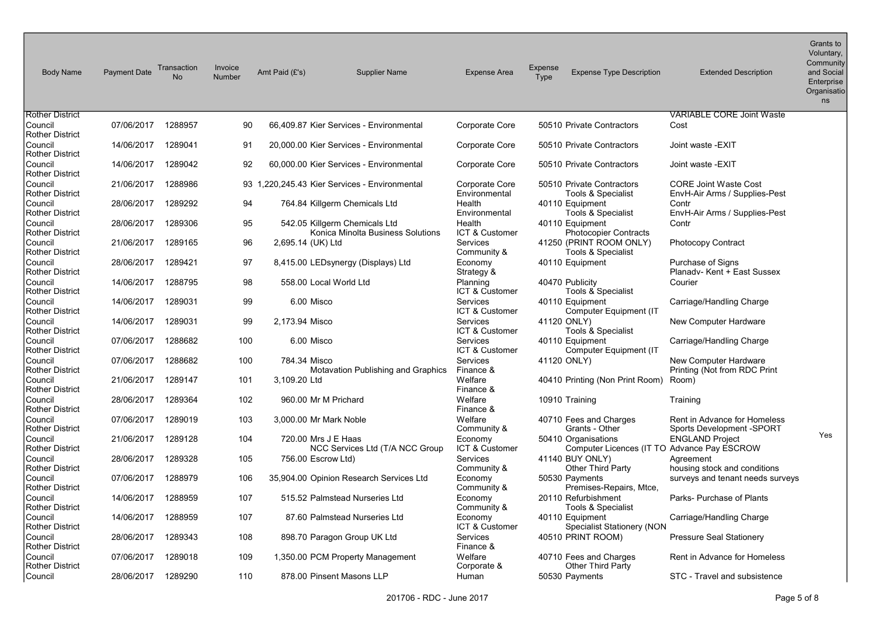| <b>Body Name</b>                  | <b>Payment Date</b> | Transaction<br>No | Invoice<br>Number | Amt Paid (£'s)     | <b>Supplier Name</b>                                               | <b>Expense Area</b>               | <b>Expense</b><br>Type | <b>Expense Type Description</b>                                    | <b>Extended Description</b>                                   | Grants to<br>Voluntary,<br>Community<br>and Social<br>Enterprise<br>Organisatio<br>ns |
|-----------------------------------|---------------------|-------------------|-------------------|--------------------|--------------------------------------------------------------------|-----------------------------------|------------------------|--------------------------------------------------------------------|---------------------------------------------------------------|---------------------------------------------------------------------------------------|
| <b>Rother District</b>            |                     |                   |                   |                    |                                                                    |                                   |                        |                                                                    | <b>VARIABLE CORE Joint Waste</b>                              |                                                                                       |
| Council<br><b>Rother District</b> | 07/06/2017          | 1288957           | 90                |                    | 66.409.87 Kier Services - Environmental                            | Corporate Core                    |                        | 50510 Private Contractors                                          | Cost                                                          |                                                                                       |
| Council<br><b>Rother District</b> | 14/06/2017          | 1289041           | 91                |                    | 20,000.00 Kier Services - Environmental                            | <b>Corporate Core</b>             |                        | 50510 Private Contractors                                          | Joint waste - EXIT                                            |                                                                                       |
| Council<br><b>Rother District</b> | 14/06/2017          | 1289042           | 92                |                    | 60,000.00 Kier Services - Environmental                            | Corporate Core                    |                        | 50510 Private Contractors                                          | Joint waste - EXIT                                            |                                                                                       |
| Council<br><b>Rother District</b> | 21/06/2017          | 1288986           |                   |                    | 93 1,220,245.43 Kier Services - Environmental                      | Corporate Core<br>Environmental   |                        | 50510 Private Contractors<br>Tools & Specialist                    | <b>CORE Joint Waste Cost</b><br>EnvH-Air Arms / Supplies-Pest |                                                                                       |
| Council<br><b>Rother District</b> | 28/06/2017          | 1289292           | 94                |                    | 764.84 Killgerm Chemicals Ltd                                      | Health<br>Environmental           |                        | 40110 Equipment<br>Tools & Specialist                              | Contr<br>EnvH-Air Arms / Supplies-Pest                        |                                                                                       |
| Council<br>Rother District        | 28/06/2017          | 1289306           | 95                |                    | 542.05 Killgerm Chemicals Ltd<br>Konica Minolta Business Solutions | Health<br>ICT & Customer          |                        | 40110 Equipment<br><b>Photocopier Contracts</b>                    | Contr                                                         |                                                                                       |
| Council<br><b>Rother District</b> | 21/06/2017          | 1289165           | 96                | 2,695.14 (UK) Ltd  |                                                                    | <b>Services</b><br>Community &    |                        | 41250 (PRINT ROOM ONLY)<br>Tools & Specialist                      | <b>Photocopy Contract</b>                                     |                                                                                       |
| Council<br>Rother District        | 28/06/2017          | 1289421           | 97                |                    | 8,415.00 LEDsynergy (Displays) Ltd                                 | Economy<br>Strategy &             |                        | 40110 Equipment                                                    | Purchase of Signs<br>Planady-Kent + East Sussex               |                                                                                       |
| Council<br>Rother District        | 14/06/2017          | 1288795           | 98                |                    | 558.00 Local World Ltd                                             | Planning<br>ICT & Customer        |                        | 40470 Publicity<br>Tools & Specialist                              | Courier                                                       |                                                                                       |
| Council<br><b>Rother District</b> | 14/06/2017          | 1289031           | 99                | 6.00 Misco         |                                                                    | <b>Services</b><br>ICT & Customer |                        | 40110 Equipment<br>Computer Equipment (IT                          | Carriage/Handling Charge                                      |                                                                                       |
| Council<br><b>Rother District</b> | 14/06/2017          | 1289031           | 99                | 2,173.94 Misco     |                                                                    | <b>Services</b><br>ICT & Customer |                        | 41120 ONLY)<br>Tools & Specialist                                  | New Computer Hardware                                         |                                                                                       |
| Council<br><b>Rother District</b> | 07/06/2017          | 1288682           | 100               | 6.00 Misco         |                                                                    | <b>Services</b><br>ICT & Customer |                        | 40110 Equipment<br><b>Computer Equipment (IT</b>                   | Carriage/Handling Charge                                      |                                                                                       |
| Council<br><b>Rother District</b> | 07/06/2017          | 1288682           | 100               | 784.34 Misco       | Motavation Publishing and Graphics                                 | <b>Services</b><br>Finance &      |                        | 41120 ONLY)                                                        | New Computer Hardware<br>Printing (Not from RDC Print         |                                                                                       |
| Council<br><b>Rother District</b> | 21/06/2017          | 1289147           | 101               | 3,109.20 Ltd       |                                                                    | Welfare<br>Finance &              |                        | 40410 Printing (Non Print Room)                                    | Room)                                                         |                                                                                       |
| Council<br>Rother District        | 28/06/2017          | 1289364           | 102               |                    | 960.00 Mr M Prichard                                               | Welfare<br>Finance &              |                        | 10910 Training                                                     | Training                                                      |                                                                                       |
| Council<br><b>Rother District</b> | 07/06/2017          | 1289019           | 103               |                    | 3,000.00 Mr Mark Noble                                             | Welfare<br>Community &            |                        | 40710 Fees and Charges<br>Grants - Other                           | Rent in Advance for Homeless<br>Sports Development -SPORT     |                                                                                       |
| Council<br><b>Rother District</b> | 21/06/2017          | 1289128           | 104               |                    | 720.00 Mrs J E Haas<br>NCC Services Ltd (T/A NCC Group             | Economy<br>ICT & Customer         |                        | 50410 Organisations<br>Computer Licences (IT TO Advance Pay ESCROW | <b>ENGLAND Project</b>                                        | Yes                                                                                   |
| Council<br>Rother District        | 28/06/2017          | 1289328           | 105               | 756.00 Escrow Ltd) |                                                                    | <b>Services</b><br>Community &    |                        | 41140 BUY ONLY)<br>Other Third Party                               | Agreement<br>housing stock and conditions                     |                                                                                       |
| Council<br><b>Rother District</b> | 07/06/2017          | 1288979           | 106               |                    | 35,904.00 Opinion Research Services Ltd                            | Economy<br>Community &            |                        | 50530 Payments<br>Premises-Repairs, Mtce,                          | surveys and tenant needs surveys                              |                                                                                       |
| Council<br><b>Rother District</b> | 14/06/2017          | 1288959           | 107               |                    | 515.52 Palmstead Nurseries Ltd                                     | Economy<br>Community &            |                        | 20110 Refurbishment<br>Tools & Specialist                          | Parks- Purchase of Plants                                     |                                                                                       |
| Council<br><b>Rother District</b> | 14/06/2017          | 1288959           | 107               |                    | 87.60 Palmstead Nurseries Ltd                                      | Economy<br>ICT & Customer         |                        | 40110 Equipment<br>Specialist Stationery (NON                      | Carriage/Handling Charge                                      |                                                                                       |
| Council<br><b>Rother District</b> | 28/06/2017          | 1289343           | 108               |                    | 898.70 Paragon Group UK Ltd                                        | Services<br>Finance &             |                        | 40510 PRINT ROOM)                                                  | <b>Pressure Seal Stationery</b>                               |                                                                                       |
| Council<br><b>Rother District</b> | 07/06/2017          | 1289018           | 109               |                    | 1,350.00 PCM Property Management                                   | Welfare<br>Corporate &            |                        | 40710 Fees and Charges<br><b>Other Third Party</b>                 | <b>Rent in Advance for Homeless</b>                           |                                                                                       |
| Council                           | 28/06/2017          | 1289290           | 110               |                    | 878.00 Pinsent Masons LLP                                          | Human                             |                        | 50530 Payments                                                     | STC - Travel and subsistence                                  |                                                                                       |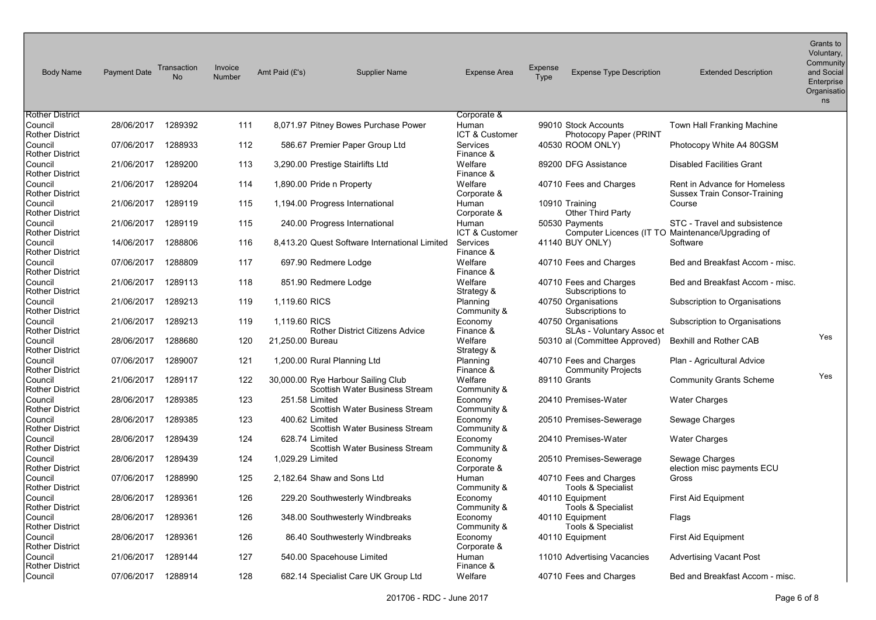| <b>Body Name</b>                  | <b>Payment Date</b> | Transaction<br>No | Invoice<br>Number | Amt Paid (£'s)                     | <b>Supplier Name</b>                          | <b>Expense Area</b>     | <b>Expense</b><br><b>Type</b> | <b>Expense Type Description</b>                     | <b>Extended Description</b>                                                       | Grants to<br>Voluntary,<br>Community<br>and Social<br>Enterprise<br>Organisatio<br>ns |
|-----------------------------------|---------------------|-------------------|-------------------|------------------------------------|-----------------------------------------------|-------------------------|-------------------------------|-----------------------------------------------------|-----------------------------------------------------------------------------------|---------------------------------------------------------------------------------------|
| <b>Rother District</b><br>Council | 28/06/2017          | 1289392           | 111               |                                    | 8,071.97 Pitney Bowes Purchase Power          | Corporate &<br>Human    |                               | 99010 Stock Accounts                                | <b>Town Hall Franking Machine</b>                                                 |                                                                                       |
| <b>Rother District</b>            |                     |                   |                   |                                    |                                               | ICT & Customer          |                               | Photocopy Paper (PRINT                              |                                                                                   |                                                                                       |
| Council<br>Rother District        | 07/06/2017          | 1288933           | 112               |                                    | 586.67 Premier Paper Group Ltd                | Services<br>Finance &   |                               | 40530 ROOM ONLY)                                    | Photocopy White A4 80GSM                                                          |                                                                                       |
| Council<br><b>Rother District</b> | 21/06/2017          | 1289200           | 113               | 3,290.00 Prestige Stairlifts Ltd   |                                               | Welfare<br>Finance &    |                               | 89200 DFG Assistance                                | <b>Disabled Facilities Grant</b>                                                  |                                                                                       |
| Council<br><b>Rother District</b> | 21/06/2017          | 1289204           | 114               | 1,890.00 Pride n Property          |                                               | Welfare<br>Corporate &  |                               | 40710 Fees and Charges                              | <b>Rent in Advance for Homeless</b><br>Sussex Train Consor-Training               |                                                                                       |
| Council<br><b>Rother District</b> | 21/06/2017          | 1289119           | 115               | 1,194.00 Progress International    |                                               | Human<br>Corporate &    |                               | 10910 Training<br><b>Other Third Party</b>          | Course                                                                            |                                                                                       |
| Council<br>Rother District        | 21/06/2017          | 1289119           | 115               | 240.00 Progress International      |                                               | Human<br>ICT & Customer |                               | 50530 Payments                                      | STC - Travel and subsistence<br>Computer Licences (IT TO Maintenance/Upgrading of |                                                                                       |
| Council<br><b>Rother District</b> | 14/06/2017          | 1288806           | 116               |                                    | 8.413.20 Quest Software International Limited | Services<br>Finance &   |                               | 41140 BUY ONLY)                                     | Software                                                                          |                                                                                       |
| Council<br>Rother District        | 07/06/2017          | 1288809           | 117               | 697.90 Redmere Lodge               |                                               | Welfare<br>Finance &    |                               | 40710 Fees and Charges                              | Bed and Breakfast Accom - misc.                                                   |                                                                                       |
| Council<br>Rother District        | 21/06/2017          | 1289113           | 118               | 851.90 Redmere Lodge               |                                               | Welfare<br>Strategy &   |                               | 40710 Fees and Charges<br>Subscriptions to          | Bed and Breakfast Accom - misc.                                                   |                                                                                       |
| Council<br><b>Rother District</b> | 21/06/2017          | 1289213           | 119               | 1.119.60 RICS                      |                                               | Planning<br>Community & |                               | 40750 Organisations<br>Subscriptions to             | Subscription to Organisations                                                     |                                                                                       |
| Council<br><b>Rother District</b> | 21/06/2017          | 1289213           | 119               | 1.119.60 RICS                      | <b>Rother District Citizens Advice</b>        | Economy<br>Finance &    |                               | 40750 Organisations<br>SLAs - Voluntary Assoc et    | Subscription to Organisations                                                     |                                                                                       |
| Council<br><b>Rother District</b> | 28/06/2017          | 1288680           | 120               | 21,250.00 Bureau                   |                                               | Welfare<br>Strategy &   |                               | 50310 al (Committee Approved)                       | Bexhill and Rother CAB                                                            | Yes                                                                                   |
| Council<br><b>Rother District</b> | 07/06/2017          | 1289007           | 121               | 1,200.00 Rural Planning Ltd        |                                               | Planning<br>Finance &   |                               | 40710 Fees and Charges<br><b>Community Projects</b> | Plan - Agricultural Advice                                                        |                                                                                       |
| Council<br><b>Rother District</b> | 21/06/2017          | 1289117           | 122               | 30,000.00 Rye Harbour Sailing Club | Scottish Water Business Stream                | Welfare<br>Community &  |                               | 89110 Grants                                        | <b>Community Grants Scheme</b>                                                    | Yes                                                                                   |
| Council<br>Rother District        | 28/06/2017          | 1289385           | 123               | 251.58 Limited                     | Scottish Water Business Stream                | Economy<br>Community &  |                               | 20410 Premises-Water                                | <b>Water Charges</b>                                                              |                                                                                       |
| Council<br><b>Rother District</b> | 28/06/2017          | 1289385           | 123               | 400.62 Limited                     | Scottish Water Business Stream                | Economy<br>Community &  |                               | 20510 Premises-Sewerage                             | Sewage Charges                                                                    |                                                                                       |
| Council<br><b>Rother District</b> | 28/06/2017          | 1289439           | 124               | 628.74 Limited                     | Scottish Water Business Stream                | Economy<br>Community &  |                               | 20410 Premises-Water                                | <b>Water Charges</b>                                                              |                                                                                       |
| Council<br>Rother District        | 28/06/2017          | 1289439           | 124               | 1,029.29 Limited                   |                                               | Economy<br>Corporate &  |                               | 20510 Premises-Sewerage                             | Sewage Charges<br>election misc payments ECU                                      |                                                                                       |
| Council<br><b>Rother District</b> | 07/06/2017          | 1288990           | 125               | 2.182.64 Shaw and Sons Ltd         |                                               | Human<br>Community &    |                               | 40710 Fees and Charges<br>Tools & Specialist        | Gross                                                                             |                                                                                       |
| Council<br><b>Rother District</b> | 28/06/2017          | 1289361           | 126               |                                    | 229.20 Southwesterly Windbreaks               | Economy<br>Community &  |                               | 40110 Equipment<br>Tools & Specialist               | First Aid Equipment                                                               |                                                                                       |
| Council<br><b>Rother District</b> | 28/06/2017          | 1289361           | 126               |                                    | 348.00 Southwesterly Windbreaks               | Economy<br>Community &  |                               | 40110 Equipment<br>Tools & Specialist               | Flags                                                                             |                                                                                       |
| Council<br><b>Rother District</b> | 28/06/2017          | 1289361           | 126               |                                    | 86.40 Southwesterly Windbreaks                | Economy<br>Corporate &  |                               | 40110 Equipment                                     | First Aid Equipment                                                               |                                                                                       |
| Council<br><b>Rother District</b> | 21/06/2017          | 1289144           | 127               | 540.00 Spacehouse Limited          |                                               | Human<br>Finance &      |                               | 11010 Advertising Vacancies                         | <b>Advertising Vacant Post</b>                                                    |                                                                                       |
| Council                           | 07/06/2017          | 1288914           | 128               |                                    | 682.14 Specialist Care UK Group Ltd           | Welfare                 |                               | 40710 Fees and Charges                              | Bed and Breakfast Accom - misc.                                                   |                                                                                       |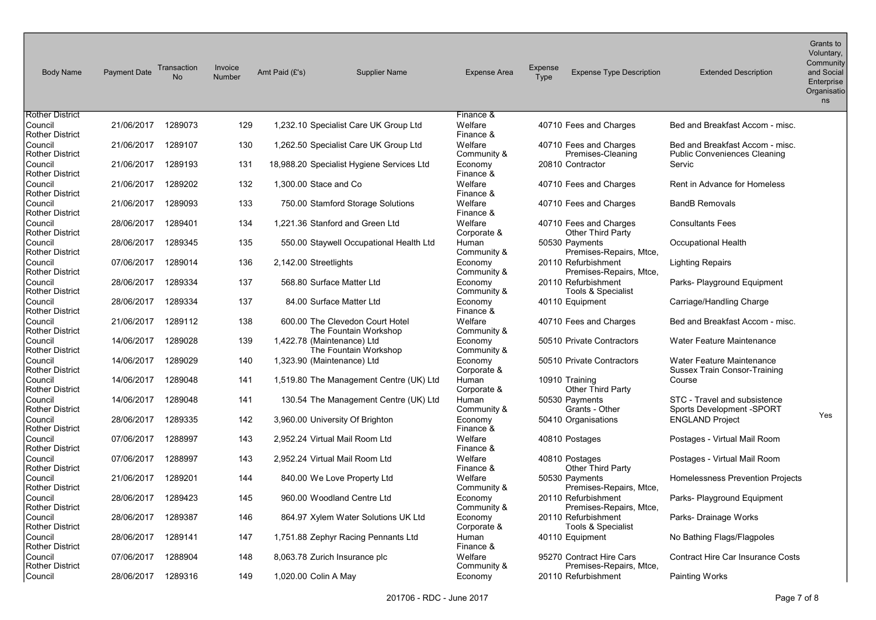| <b>Body Name</b>                  | <b>Payment Date</b> | Transaction<br>No | Invoice<br>Number | Amt Paid (£'s)        | <b>Supplier Name</b>                                     | <b>Expense Area</b>    | <b>Expense</b><br>Type | <b>Expense Type Description</b>                     | <b>Extended Description</b>                                            | Grants to<br>Voluntary,<br>Community<br>and Social<br>Enterprise<br>Organisatio<br>ns |
|-----------------------------------|---------------------|-------------------|-------------------|-----------------------|----------------------------------------------------------|------------------------|------------------------|-----------------------------------------------------|------------------------------------------------------------------------|---------------------------------------------------------------------------------------|
| <b>Rother District</b><br>Council | 21/06/2017          | 1289073           | 129               |                       | 1,232.10 Specialist Care UK Group Ltd                    | Finance &<br>Welfare   |                        | 40710 Fees and Charges                              | Bed and Breakfast Accom - misc.                                        |                                                                                       |
| <b>Rother District</b>            |                     |                   |                   |                       |                                                          | Finance &              |                        |                                                     |                                                                        |                                                                                       |
| Council<br><b>Rother District</b> | 21/06/2017          | 1289107           | 130               |                       | 1,262.50 Specialist Care UK Group Ltd                    | Welfare<br>Community & |                        | 40710 Fees and Charges<br>Premises-Cleaning         | Bed and Breakfast Accom - misc.<br><b>Public Conveniences Cleaning</b> |                                                                                       |
| Council<br><b>Rother District</b> | 21/06/2017          | 1289193           | 131               |                       | 18,988.20 Specialist Hygiene Services Ltd                | Economy<br>Finance &   |                        | 20810 Contractor                                    | Servic                                                                 |                                                                                       |
| Council<br><b>Rother District</b> | 21/06/2017          | 1289202           | 132               | 1,300.00 Stace and Co |                                                          | Welfare<br>Finance &   |                        | 40710 Fees and Charges                              | <b>Rent in Advance for Homeless</b>                                    |                                                                                       |
| Council<br><b>Rother District</b> | 21/06/2017          | 1289093           | 133               |                       | 750.00 Stamford Storage Solutions                        | Welfare<br>Finance &   |                        | 40710 Fees and Charges                              | <b>BandB Removals</b>                                                  |                                                                                       |
| Council<br><b>Rother District</b> | 28/06/2017          | 1289401           | 134               |                       | 1,221.36 Stanford and Green Ltd                          | Welfare<br>Corporate & |                        | 40710 Fees and Charges<br><b>Other Third Party</b>  | <b>Consultants Fees</b>                                                |                                                                                       |
| Council<br><b>Rother District</b> | 28/06/2017          | 1289345           | 135               |                       | 550.00 Staywell Occupational Health Ltd                  | Human<br>Community &   |                        | 50530 Payments<br>Premises-Repairs, Mtce,           | <b>Occupational Health</b>                                             |                                                                                       |
| Council<br><b>Rother District</b> | 07/06/2017          | 1289014           | 136               | 2,142.00 Streetlights |                                                          | Economy<br>Community & |                        | 20110 Refurbishment<br>Premises-Repairs, Mtce,      | <b>Lighting Repairs</b>                                                |                                                                                       |
| Council<br><b>Rother District</b> | 28/06/2017          | 1289334           | 137               |                       | 568.80 Surface Matter Ltd                                | Economy<br>Community & |                        | 20110 Refurbishment<br>Tools & Specialist           | Parks- Playground Equipment                                            |                                                                                       |
| Council<br><b>Rother District</b> | 28/06/2017          | 1289334           | 137               |                       | 84.00 Surface Matter Ltd                                 | Economy<br>Finance &   |                        | 40110 Equipment                                     | Carriage/Handling Charge                                               |                                                                                       |
| Council<br><b>Rother District</b> | 21/06/2017          | 1289112           | 138               |                       | 600.00 The Clevedon Court Hotel<br>The Fountain Workshop | Welfare<br>Community & |                        | 40710 Fees and Charges                              | Bed and Breakfast Accom - misc.                                        |                                                                                       |
| Council<br><b>Rother District</b> | 14/06/2017          | 1289028           | 139               |                       | 1,422.78 (Maintenance) Ltd<br>The Fountain Workshop      | Economy<br>Community & |                        | 50510 Private Contractors                           | Water Feature Maintenance                                              |                                                                                       |
| Council<br><b>Rother District</b> | 14/06/2017          | 1289029           | 140               |                       | 1,323.90 (Maintenance) Ltd                               | Economy<br>Corporate & |                        | 50510 Private Contractors                           | Water Feature Maintenance<br>Sussex Train Consor-Training              |                                                                                       |
| Council<br><b>Rother District</b> | 14/06/2017          | 1289048           | 141               |                       | 1,519.80 The Management Centre (UK) Ltd                  | Human<br>Corporate &   |                        | 10910 Training<br><b>Other Third Party</b>          | Course                                                                 |                                                                                       |
| Council<br><b>Rother District</b> | 14/06/2017          | 1289048           | 141               |                       | 130.54 The Management Centre (UK) Ltd                    | Human<br>Community &   |                        | 50530 Payments<br>Grants - Other                    | STC - Travel and subsistence<br><b>Sports Development -SPORT</b>       | Yes                                                                                   |
| Council<br><b>Rother District</b> | 28/06/2017          | 1289335           | 142               |                       | 3,960.00 University Of Brighton                          | Economy<br>Finance &   |                        | 50410 Organisations                                 | <b>ENGLAND Project</b>                                                 |                                                                                       |
| Council<br><b>Rother District</b> | 07/06/2017          | 1288997           | 143               |                       | 2,952.24 Virtual Mail Room Ltd                           | Welfare<br>Finance &   |                        | 40810 Postages                                      | Postages - Virtual Mail Room                                           |                                                                                       |
| Council<br><b>Rother District</b> | 07/06/2017          | 1288997           | 143               |                       | 2,952.24 Virtual Mail Room Ltd                           | Welfare<br>Finance &   |                        | 40810 Postages<br><b>Other Third Party</b>          | Postages - Virtual Mail Room                                           |                                                                                       |
| Council<br><b>Rother District</b> | 21/06/2017          | 1289201           | 144               |                       | 840.00 We Love Property Ltd                              | Welfare<br>Community & |                        | 50530 Payments<br>Premises-Repairs, Mtce,           | Homelessness Prevention Projects                                       |                                                                                       |
| Council<br><b>Rother District</b> | 28/06/2017          | 1289423           | 145               |                       | 960.00 Woodland Centre Ltd                               | Economy<br>Community & |                        | 20110 Refurbishment<br>Premises-Repairs, Mtce,      | Parks- Playground Equipment                                            |                                                                                       |
| Council<br><b>Rother District</b> | 28/06/2017          | 1289387           | 146               |                       | 864.97 Xylem Water Solutions UK Ltd                      | Economy<br>Corporate & |                        | 20110 Refurbishment<br>Tools & Specialist           | Parks-Drainage Works                                                   |                                                                                       |
| Council<br><b>Rother District</b> | 28/06/2017          | 1289141           | 147               |                       | 1,751.88 Zephyr Racing Pennants Ltd                      | Human<br>Finance &     |                        | 40110 Equipment                                     | No Bathing Flags/Flagpoles                                             |                                                                                       |
| Council<br><b>Rother District</b> | 07/06/2017          | 1288904           | 148               |                       | 8,063.78 Zurich Insurance plc                            | Welfare<br>Community & |                        | 95270 Contract Hire Cars<br>Premises-Repairs, Mtce, | <b>Contract Hire Car Insurance Costs</b>                               |                                                                                       |
| Council                           | 28/06/2017          | 1289316           | 149               | 1,020.00 Colin A May  |                                                          | Economy                |                        | 20110 Refurbishment                                 | <b>Painting Works</b>                                                  |                                                                                       |